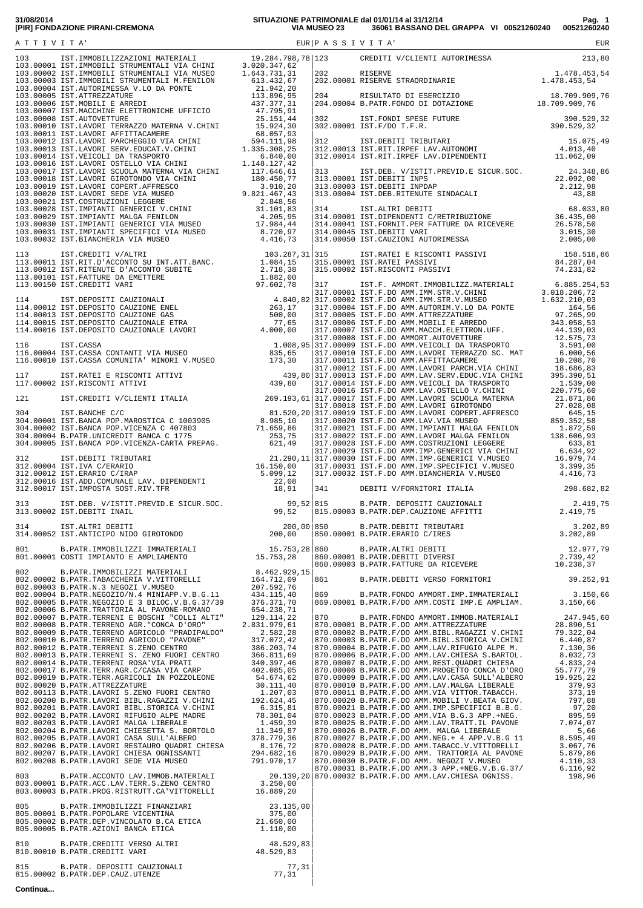| 801.00001 APPET. HOWAIT AND MONETAINT 15.73.281 (86,00001 B.PATE, PATET TIVESOR DENTRAL 2.100001 B.PATE, PATER 2.200001 B.PATE, PATER 2.200001 B.PATE, PATER 2.200001 B.PATE, PATER 2.200001 B.PATER 2.200001 B.PATER 2.20000            |  |  |
|------------------------------------------------------------------------------------------------------------------------------------------------------------------------------------------------------------------------------------------|--|--|
|                                                                                                                                                                                                                                          |  |  |
| 805.00003 B.FAIR.FROG.RISHOFIT.CA VIHORELLI 10.089,20<br>805.00001 B.PATR.PROPOLARE VICENTINA<br>805.00001 B.PATR.PEP.VINCOLATO B.CA ETICA<br>805.00002 B.PATR.DEP.VINCOLATO B.CA ETICA<br>805.00005 B.PATR.DEP.VINCOLATO B.CA ETICA<br> |  |  |
|                                                                                                                                                                                                                                          |  |  |
|                                                                                                                                                                                                                                          |  |  |

 | **Continua...**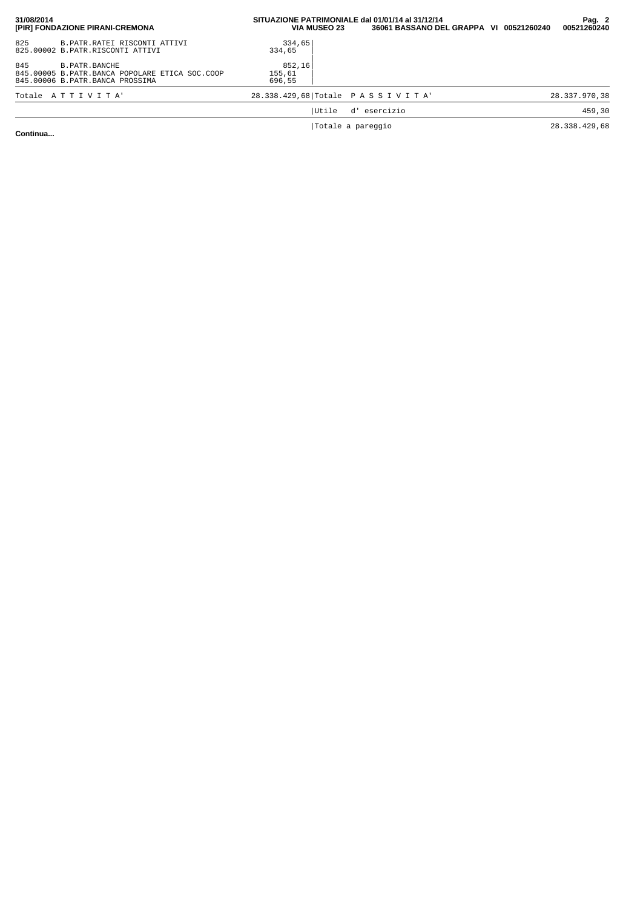| 31/08/2014<br>[PIR] FONDAZIONE PIRANI-CREMONA                                                               | SITUAZIONE PATRIMONIALE dal 01/01/14 al 31/12/14<br><b>VIA MUSEO 23</b> | 36061 BASSANO DEL GRAPPA VI 00521260240 |  | Pag. 2<br>00521260240 |
|-------------------------------------------------------------------------------------------------------------|-------------------------------------------------------------------------|-----------------------------------------|--|-----------------------|
| 825<br>B. PATR. RATEI RISCONTI ATTIVI<br>825.00002 B.PATR.RISCONTI ATTIVI                                   | 334,65<br>334,65                                                        |                                         |  |                       |
| 845<br>B. PATR. BANCHE<br>845.00005 B.PATR.BANCA POPOLARE ETICA SOC.COOP<br>845.00006 B.PATR.BANCA PROSSIMA | 852,16<br>155,61<br>696,55                                              |                                         |  |                       |
| Totale ATTIVITA'                                                                                            | 28.338.429,68 Totale PASSIVITA'                                         |                                         |  | 28.337.970,38         |
|                                                                                                             | Utile                                                                   | d' esercizio                            |  | 459,30                |
|                                                                                                             | Totale a pareggio                                                       |                                         |  | 28.338.429,68         |

**Continua...**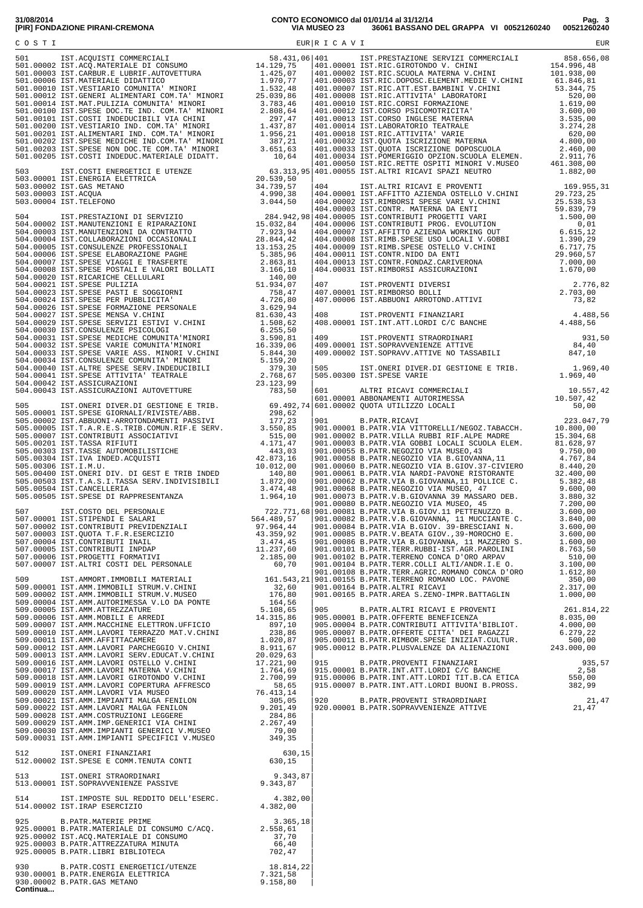|  |  | 905.00012 B.PAIR.PROVENTI FINANZIARI 935,57<br>915.00001 B.PATR.INT.ATT.LORDI C/C BANCHE 915.00006 B.PATR.INT.ATT.LORDI TIT.B.CA ETICA 550,00<br>915.00006 B.PATR.INT.ATT.LORDI TIT.B.CA ETICA 550,00<br>915.00007 B.PATR.INT.ATT.LORDI |  |
|--|--|-----------------------------------------------------------------------------------------------------------------------------------------------------------------------------------------------------------------------------------------|--|
|  |  |                                                                                                                                                                                                                                         |  |
|  |  |                                                                                                                                                                                                                                         |  |
|  |  |                                                                                                                                                                                                                                         |  |
|  |  |                                                                                                                                                                                                                                         |  |
|  |  |                                                                                                                                                                                                                                         |  |